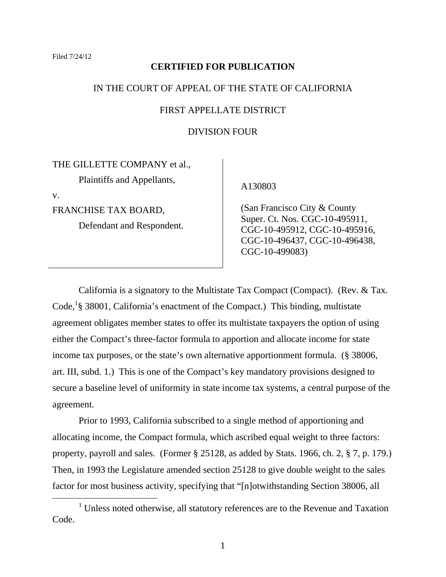## **CERTIFIED FOR PUBLICATION**

### IN THE COURT OF APPEAL OF THE STATE OF CALIFORNIA

## FIRST APPELLATE DISTRICT

## DIVISION FOUR

THE GILLETTE COMPANY et al., Plaintiffs and Appellants,

v.

FRANCHISE TAX BOARD, Defendant and Respondent. A130803

 (San Francisco City & County Super. Ct. Nos. CGC-10-495911, CGC-10-495912, CGC-10-495916, CGC-10-496437, CGC-10-496438, CGC-10-499083)

 California is a signatory to the Multistate Tax Compact (Compact). (Rev. & Tax. Code,  $\frac{1}{8}$  38001, California's enactment of the Compact.) This binding, multistate agreement obligates member states to offer its multistate taxpayers the option of using either the Compact's three-factor formula to apportion and allocate income for state income tax purposes, or the state's own alternative apportionment formula. (§ 38006, art. III, subd. 1.) This is one of the Compact's key mandatory provisions designed to secure a baseline level of uniformity in state income tax systems, a central purpose of the agreement.

 Prior to 1993, California subscribed to a single method of apportioning and allocating income, the Compact formula, which ascribed equal weight to three factors: property, payroll and sales. (Former § 25128, as added by Stats. 1966, ch. 2, § 7, p. 179.) Then, in 1993 the Legislature amended section 25128 to give double weight to the sales factor for most business activity, specifying that "[n]otwithstanding Section 38006, all

<sup>&</sup>lt;u>1</u> <sup>1</sup> Unless noted otherwise, all statutory references are to the Revenue and Taxation Code.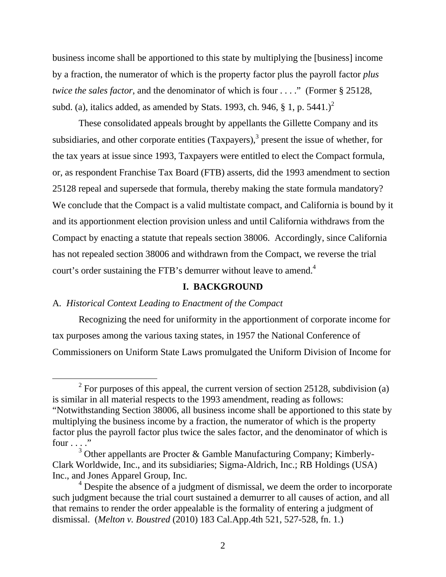business income shall be apportioned to this state by multiplying the [business] income by a fraction, the numerator of which is the property factor plus the payroll factor *plus twice the sales factor*, and the denominator of which is four . . . ." (Former § 25128, subd. (a), italics added, as amended by Stats. 1993, ch. 946, § 1, p.  $5441.$ )<sup>2</sup>

 These consolidated appeals brought by appellants the Gillette Company and its subsidiaries, and other corporate entities  $(Taxpayers)$ , present the issue of whether, for the tax years at issue since 1993, Taxpayers were entitled to elect the Compact formula, or, as respondent Franchise Tax Board (FTB) asserts, did the 1993 amendment to section 25128 repeal and supersede that formula, thereby making the state formula mandatory? We conclude that the Compact is a valid multistate compact, and California is bound by it and its apportionment election provision unless and until California withdraws from the Compact by enacting a statute that repeals section 38006. Accordingly, since California has not repealed section 38006 and withdrawn from the Compact, we reverse the trial court's order sustaining the FTB's demurrer without leave to amend.<sup>4</sup>

### **I. BACKGROUND**

## A*. Historical Context Leading to Enactment of the Compact*

 Recognizing the need for uniformity in the apportionment of corporate income for tax purposes among the various taxing states, in 1957 the National Conference of Commissioners on Uniform State Laws promulgated the Uniform Division of Income for

 <sup>2</sup> <sup>2</sup> For purposes of this appeal, the current version of section 25128, subdivision (a) is similar in all material respects to the 1993 amendment, reading as follows: "Notwithstanding Section 38006, all business income shall be apportioned to this state by multiplying the business income by a fraction, the numerator of which is the property factor plus the payroll factor plus twice the sales factor, and the denominator of which is four  $\dots$ ."

<sup>3</sup> Other appellants are Procter & Gamble Manufacturing Company; Kimberly-Clark Worldwide, Inc., and its subsidiaries; Sigma-Aldrich, Inc.; RB Holdings (USA) Inc., and Jones Apparel Group, Inc.

<sup>&</sup>lt;sup>4</sup> Despite the absence of a judgment of dismissal, we deem the order to incorporate such judgment because the trial court sustained a demurrer to all causes of action, and all that remains to render the order appealable is the formality of entering a judgment of dismissal. (*Melton v. Boustred* (2010) 183 Cal.App.4th 521, 527-528, fn. 1.)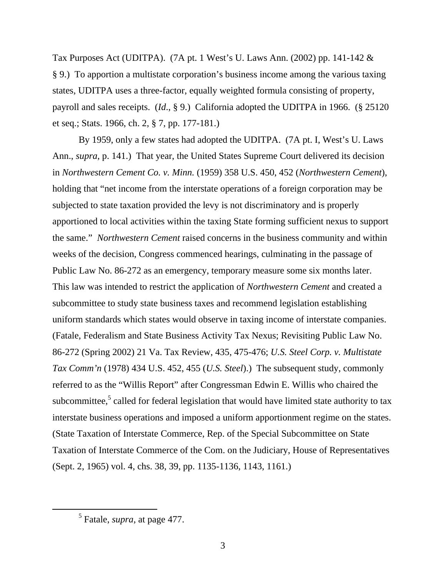Tax Purposes Act (UDITPA). (7A pt. 1 West's U. Laws Ann. (2002) pp. 141-142 & § 9.) To apportion a multistate corporation's business income among the various taxing states, UDITPA uses a three-factor, equally weighted formula consisting of property, payroll and sales receipts. (*Id*., § 9.) California adopted the UDITPA in 1966. (§ 25120 et seq.; Stats. 1966, ch. 2, § 7, pp. 177-181.)

 By 1959, only a few states had adopted the UDITPA. (7A pt. I, West's U. Laws Ann., *supra*, p. 141.) That year, the United States Supreme Court delivered its decision in *Northwestern Cement Co. v. Minn.* (1959) 358 U.S. 450, 452 (*Northwestern Cement*), holding that "net income from the interstate operations of a foreign corporation may be subjected to state taxation provided the levy is not discriminatory and is properly apportioned to local activities within the taxing State forming sufficient nexus to support the same." *Northwestern Cement* raised concerns in the business community and within weeks of the decision, Congress commenced hearings, culminating in the passage of Public Law No. 86-272 as an emergency, temporary measure some six months later. This law was intended to restrict the application of *Northwestern Cement* and created a subcommittee to study state business taxes and recommend legislation establishing uniform standards which states would observe in taxing income of interstate companies. (Fatale, Federalism and State Business Activity Tax Nexus; Revisiting Public Law No. 86-272 (Spring 2002) 21 Va. Tax Review, 435, 475-476; *U.S. Steel Corp. v. Multistate Tax Comm'n* (1978) 434 U.S. 452, 455 (*U.S. Steel*).) The subsequent study, commonly referred to as the "Willis Report" after Congressman Edwin E. Willis who chaired the subcommittee,<sup>5</sup> called for federal legislation that would have limited state authority to tax interstate business operations and imposed a uniform apportionment regime on the states. (State Taxation of Interstate Commerce, Rep. of the Special Subcommittee on State Taxation of Interstate Commerce of the Com. on the Judiciary, House of Representatives (Sept. 2, 1965) vol. 4, chs. 38, 39, pp. 1135-1136, 1143, 1161.)

 $rac{1}{5}$ Fatale, *supra*, at page 477.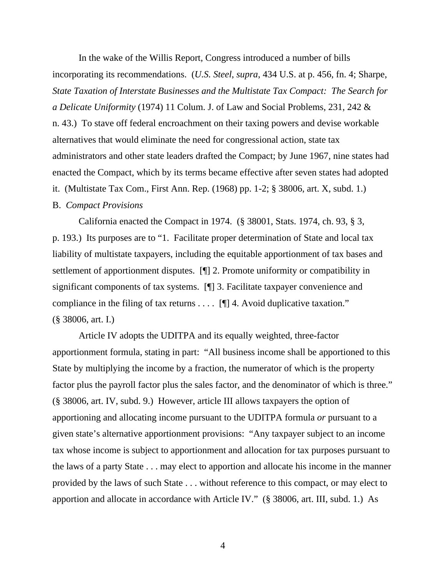In the wake of the Willis Report, Congress introduced a number of bills incorporating its recommendations. (*U.S. Steel*, *supra*, 434 U.S. at p. 456, fn. 4; Sharpe, *State Taxation of Interstate Businesses and the Multistate Tax Compact: The Search for a Delicate Uniformity* (1974) 11 Colum. J. of Law and Social Problems, 231, 242 & n. 43.) To stave off federal encroachment on their taxing powers and devise workable alternatives that would eliminate the need for congressional action, state tax administrators and other state leaders drafted the Compact; by June 1967, nine states had enacted the Compact, which by its terms became effective after seven states had adopted it. (Multistate Tax Com., First Ann. Rep. (1968) pp. 1-2; § 38006, art. X, subd. 1.)

### B. *Compact Provisions*

 California enacted the Compact in 1974. (§ 38001, Stats. 1974, ch. 93, § 3, p. 193.) Its purposes are to "1. Facilitate proper determination of State and local tax liability of multistate taxpayers, including the equitable apportionment of tax bases and settlement of apportionment disputes. [¶] 2. Promote uniformity or compatibility in significant components of tax systems. [¶] 3. Facilitate taxpayer convenience and compliance in the filing of tax returns . . . . [¶] 4. Avoid duplicative taxation." (§ 38006, art. I.)

 Article IV adopts the UDITPA and its equally weighted, three-factor apportionment formula, stating in part: "All business income shall be apportioned to this State by multiplying the income by a fraction, the numerator of which is the property factor plus the payroll factor plus the sales factor, and the denominator of which is three." (§ 38006, art. IV, subd. 9.) However, article III allows taxpayers the option of apportioning and allocating income pursuant to the UDITPA formula *or* pursuant to a given state's alternative apportionment provisions: "Any taxpayer subject to an income tax whose income is subject to apportionment and allocation for tax purposes pursuant to the laws of a party State . . . may elect to apportion and allocate his income in the manner provided by the laws of such State . . . without reference to this compact, or may elect to apportion and allocate in accordance with Article IV." (§ 38006, art. III, subd. 1.) As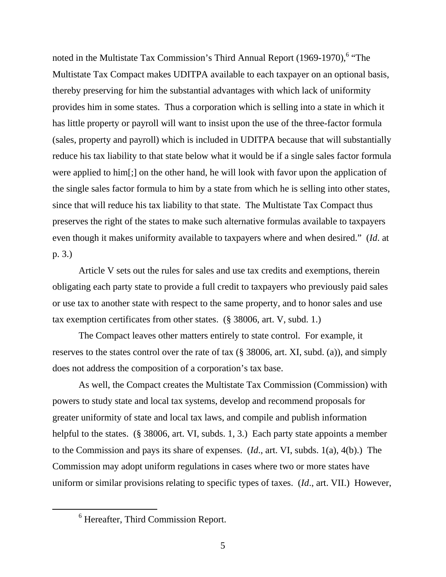noted in the Multistate Tax Commission's Third Annual Report  $(1969-1970)$ ,  $6$  "The Multistate Tax Compact makes UDITPA available to each taxpayer on an optional basis, thereby preserving for him the substantial advantages with which lack of uniformity provides him in some states. Thus a corporation which is selling into a state in which it has little property or payroll will want to insist upon the use of the three-factor formula (sales, property and payroll) which is included in UDITPA because that will substantially reduce his tax liability to that state below what it would be if a single sales factor formula were applied to him[;] on the other hand, he will look with favor upon the application of the single sales factor formula to him by a state from which he is selling into other states, since that will reduce his tax liability to that state. The Multistate Tax Compact thus preserves the right of the states to make such alternative formulas available to taxpayers even though it makes uniformity available to taxpayers where and when desired." (*Id*. at p. 3.)

 Article V sets out the rules for sales and use tax credits and exemptions, therein obligating each party state to provide a full credit to taxpayers who previously paid sales or use tax to another state with respect to the same property, and to honor sales and use tax exemption certificates from other states. (§ 38006, art. V, subd. 1.)

 The Compact leaves other matters entirely to state control. For example, it reserves to the states control over the rate of tax (§ 38006, art. XI, subd. (a)), and simply does not address the composition of a corporation's tax base.

 As well, the Compact creates the Multistate Tax Commission (Commission) with powers to study state and local tax systems, develop and recommend proposals for greater uniformity of state and local tax laws, and compile and publish information helpful to the states. (§ 38006, art. VI, subds. 1, 3.) Each party state appoints a member to the Commission and pays its share of expenses. (*Id*., art. VI, subds. 1(a), 4(b).) The Commission may adopt uniform regulations in cases where two or more states have uniform or similar provisions relating to specific types of taxes. (*Id*., art. VII.) However,

 <sup>6</sup>  $<sup>6</sup>$  Hereafter, Third Commission Report.</sup>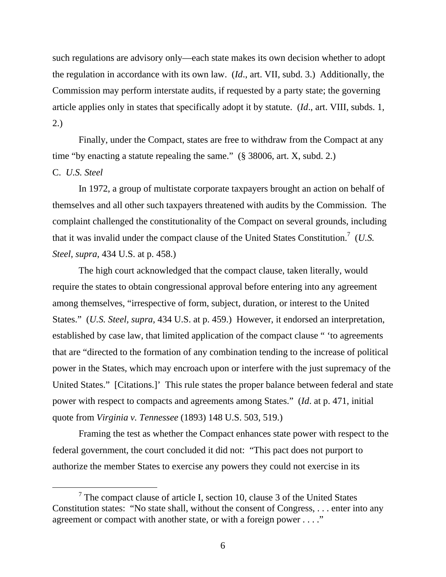such regulations are advisory only—each state makes its own decision whether to adopt the regulation in accordance with its own law. (*Id*., art. VII, subd. 3.) Additionally, the Commission may perform interstate audits, if requested by a party state; the governing article applies only in states that specifically adopt it by statute. (*Id*., art. VIII, subds. 1, 2.)

 Finally, under the Compact, states are free to withdraw from the Compact at any time "by enacting a statute repealing the same." (§ 38006, art. X, subd. 2.) C. *U.S. Steel* 

In 1972, a group of multistate corporate taxpayers brought an action on behalf of themselves and all other such taxpayers threatened with audits by the Commission. The complaint challenged the constitutionality of the Compact on several grounds, including that it was invalid under the compact clause of the United States Constitution.<sup>7</sup> (*U.S. Steel*, *supra*, 434 U.S. at p. 458.)

 The high court acknowledged that the compact clause, taken literally, would require the states to obtain congressional approval before entering into any agreement among themselves, "irrespective of form, subject, duration, or interest to the United States." (*U.S. Steel, supra,* 434 U.S. at p. 459.) However, it endorsed an interpretation, established by case law, that limited application of the compact clause " 'to agreements that are "directed to the formation of any combination tending to the increase of political power in the States, which may encroach upon or interfere with the just supremacy of the United States." [Citations.]' This rule states the proper balance between federal and state power with respect to compacts and agreements among States." (*Id*. at p. 471, initial quote from *Virginia v. Tennessee* (1893) 148 U.S. 503, 519.)

 Framing the test as whether the Compact enhances state power with respect to the federal government, the court concluded it did not: "This pact does not purport to authorize the member States to exercise any powers they could not exercise in its

 $\frac{1}{7}$  $7$  The compact clause of article I, section 10, clause 3 of the United States Constitution states: "No state shall, without the consent of Congress, . . . enter into any agreement or compact with another state, or with a foreign power . . . ."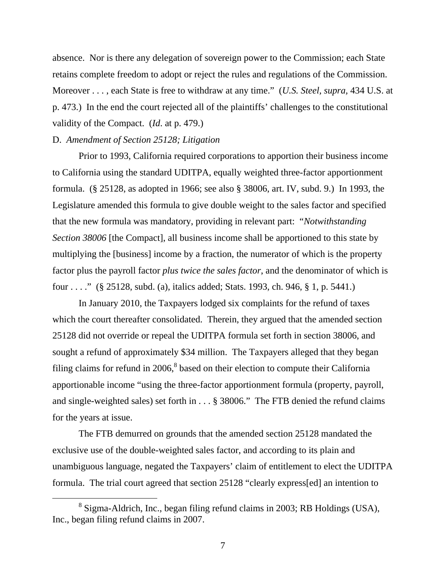absence. Nor is there any delegation of sovereign power to the Commission; each State retains complete freedom to adopt or reject the rules and regulations of the Commission. Moreover . . . , each State is free to withdraw at any time." (*U.S. Steel, supra,* 434 U.S. at p. 473.) In the end the court rejected all of the plaintiffs' challenges to the constitutional validity of the Compact. (*Id*. at p. 479.)

#### D. *Amendment of Section 25128; Litigation*

 Prior to 1993, California required corporations to apportion their business income to California using the standard UDITPA, equally weighted three-factor apportionment formula. (§ 25128, as adopted in 1966; see also § 38006, art. IV, subd. 9.) In 1993, the Legislature amended this formula to give double weight to the sales factor and specified that the new formula was mandatory, providing in relevant part: "*Notwithstanding Section 38006* [the Compact], all business income shall be apportioned to this state by multiplying the [business] income by a fraction, the numerator of which is the property factor plus the payroll factor *plus twice the sales factor*, and the denominator of which is four . . . ." (§ 25128, subd. (a), italics added; Stats. 1993, ch. 946, § 1, p. 5441.)

 In January 2010, the Taxpayers lodged six complaints for the refund of taxes which the court thereafter consolidated. Therein, they argued that the amended section 25128 did not override or repeal the UDITPA formula set forth in section 38006, and sought a refund of approximately \$34 million. The Taxpayers alleged that they began filing claims for refund in  $2006$ ,<sup>8</sup> based on their election to compute their California apportionable income "using the three-factor apportionment formula (property, payroll, and single-weighted sales) set forth in . . . § 38006." The FTB denied the refund claims for the years at issue.

 The FTB demurred on grounds that the amended section 25128 mandated the exclusive use of the double-weighted sales factor, and according to its plain and unambiguous language, negated the Taxpayers' claim of entitlement to elect the UDITPA formula. The trial court agreed that section 25128 "clearly express[ed] an intention to

 <sup>8</sup> Sigma-Aldrich, Inc., began filing refund claims in 2003; RB Holdings (USA), Inc., began filing refund claims in 2007.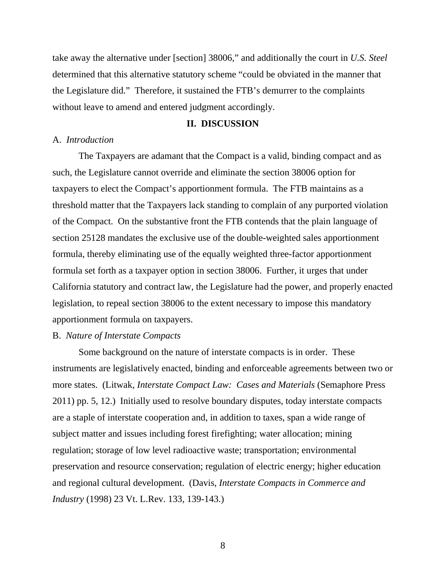take away the alternative under [section] 38006," and additionally the court in *U.S. Steel* determined that this alternative statutory scheme "could be obviated in the manner that the Legislature did." Therefore, it sustained the FTB's demurrer to the complaints without leave to amend and entered judgment accordingly.

### **II. DISCUSSION**

#### A. *Introduction*

 The Taxpayers are adamant that the Compact is a valid, binding compact and as such, the Legislature cannot override and eliminate the section 38006 option for taxpayers to elect the Compact's apportionment formula. The FTB maintains as a threshold matter that the Taxpayers lack standing to complain of any purported violation of the Compact. On the substantive front the FTB contends that the plain language of section 25128 mandates the exclusive use of the double-weighted sales apportionment formula, thereby eliminating use of the equally weighted three-factor apportionment formula set forth as a taxpayer option in section 38006. Further, it urges that under California statutory and contract law, the Legislature had the power, and properly enacted legislation, to repeal section 38006 to the extent necessary to impose this mandatory apportionment formula on taxpayers.

### B. *Nature of Interstate Compacts*

 Some background on the nature of interstate compacts is in order. These instruments are legislatively enacted, binding and enforceable agreements between two or more states. (Litwak, *Interstate Compact Law: Cases and Materials* (Semaphore Press 2011) pp. 5, 12.) Initially used to resolve boundary disputes, today interstate compacts are a staple of interstate cooperation and, in addition to taxes, span a wide range of subject matter and issues including forest firefighting; water allocation; mining regulation; storage of low level radioactive waste; transportation; environmental preservation and resource conservation; regulation of electric energy; higher education and regional cultural development. (Davis, *Interstate Compacts in Commerce and Industry* (1998) 23 Vt. L.Rev. 133, 139-143.)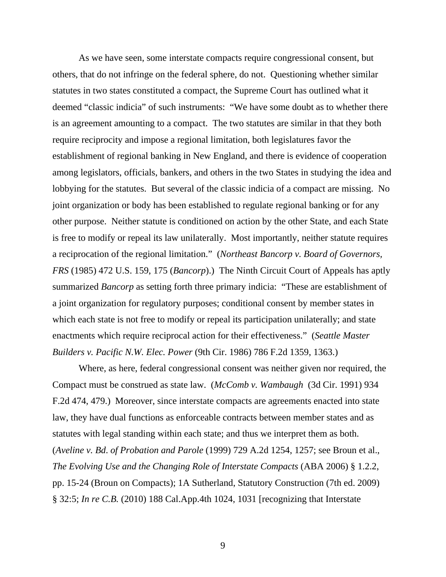As we have seen, some interstate compacts require congressional consent, but others, that do not infringe on the federal sphere, do not. Questioning whether similar statutes in two states constituted a compact, the Supreme Court has outlined what it deemed "classic indicia" of such instruments: "We have some doubt as to whether there is an agreement amounting to a compact. The two statutes are similar in that they both require reciprocity and impose a regional limitation, both legislatures favor the establishment of regional banking in New England, and there is evidence of cooperation among legislators, officials, bankers, and others in the two States in studying the idea and lobbying for the statutes. But several of the classic indicia of a compact are missing. No joint organization or body has been established to regulate regional banking or for any other purpose. Neither statute is conditioned on action by the other State, and each State is free to modify or repeal its law unilaterally. Most importantly, neither statute requires a reciprocation of the regional limitation." (*Northeast Bancorp v. Board of Governors, FRS* (1985) 472 U.S. 159, 175 (*Bancorp*).) The Ninth Circuit Court of Appeals has aptly summarized *Bancorp* as setting forth three primary indicia: "These are establishment of a joint organization for regulatory purposes; conditional consent by member states in which each state is not free to modify or repeal its participation unilaterally; and state enactments which require reciprocal action for their effectiveness." (*Seattle Master Builders v. Pacific N.W. Elec. Power* (9th Cir. 1986) 786 F.2d 1359, 1363.)

 Where, as here, federal congressional consent was neither given nor required, the Compact must be construed as state law. (*McComb v. Wambaugh* (3d Cir. 1991) 934 F.2d 474, 479.) Moreover, since interstate compacts are agreements enacted into state law, they have dual functions as enforceable contracts between member states and as statutes with legal standing within each state; and thus we interpret them as both. (*Aveline v. Bd*. *of Probation and Parole* (1999) 729 A.2d 1254, 1257; see Broun et al., *The Evolving Use and the Changing Role of Interstate Compacts* (ABA 2006) § 1.2.2, pp. 15-24 (Broun on Compacts); 1A Sutherland, Statutory Construction (7th ed. 2009) § 32:5; *In re C.B.* (2010) 188 Cal.App.4th 1024, 1031 [recognizing that Interstate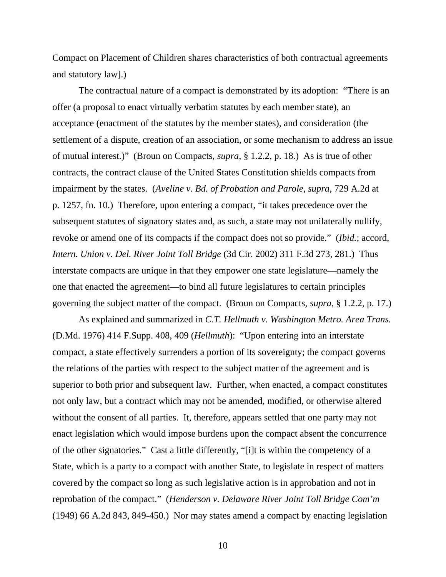Compact on Placement of Children shares characteristics of both contractual agreements and statutory law].)

 The contractual nature of a compact is demonstrated by its adoption: "There is an offer (a proposal to enact virtually verbatim statutes by each member state), an acceptance (enactment of the statutes by the member states), and consideration (the settlement of a dispute, creation of an association, or some mechanism to address an issue of mutual interest.)" (Broun on Compacts, *supra*, § 1.2.2, p. 18.) As is true of other contracts, the contract clause of the United States Constitution shields compacts from impairment by the states. (*Aveline v. Bd. of Probation and Parole*, *supra*, 729 A.2d at p. 1257, fn. 10.) Therefore, upon entering a compact, "it takes precedence over the subsequent statutes of signatory states and, as such, a state may not unilaterally nullify, revoke or amend one of its compacts if the compact does not so provide." (*Ibid.*; accord, *Intern. Union v. Del. River Joint Toll Bridge* (3d Cir. 2002) 311 F.3d 273, 281.) Thus interstate compacts are unique in that they empower one state legislature—namely the one that enacted the agreement—to bind all future legislatures to certain principles governing the subject matter of the compact. (Broun on Compacts, *supra*, § 1.2.2, p. 17.)

 As explained and summarized in *C.T. Hellmuth v. Washington Metro. Area Trans.* (D.Md. 1976) 414 F.Supp. 408, 409 (*Hellmuth*): "Upon entering into an interstate compact, a state effectively surrenders a portion of its sovereignty; the compact governs the relations of the parties with respect to the subject matter of the agreement and is superior to both prior and subsequent law. Further, when enacted, a compact constitutes not only law, but a contract which may not be amended, modified, or otherwise altered without the consent of all parties. It, therefore, appears settled that one party may not enact legislation which would impose burdens upon the compact absent the concurrence of the other signatories." Cast a little differently, "[i]t is within the competency of a State, which is a party to a compact with another State, to legislate in respect of matters covered by the compact so long as such legislative action is in approbation and not in reprobation of the compact." (*Henderson v. Delaware River Joint Toll Bridge Com'm*  (1949) 66 A.2d 843, 849-450.) Nor may states amend a compact by enacting legislation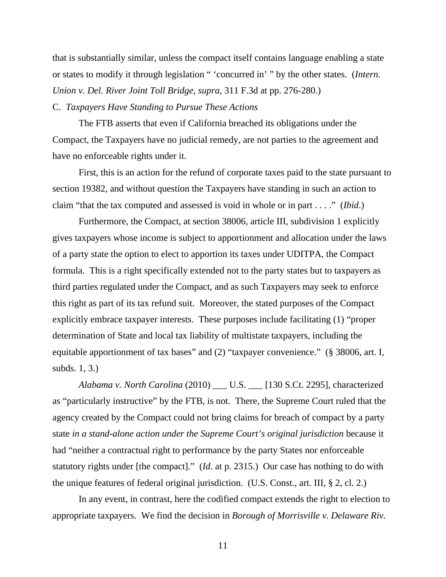that is substantially similar, unless the compact itself contains language enabling a state or states to modify it through legislation " 'concurred in' " by the other states. (*Intern. Union v. Del. River Joint Toll Bridge, supra,* 311 F.3d at pp. 276-280.)

### C. *Taxpayers Have Standing to Pursue These Actions*

The FTB asserts that even if California breached its obligations under the Compact, the Taxpayers have no judicial remedy, are not parties to the agreement and have no enforceable rights under it.

 First, this is an action for the refund of corporate taxes paid to the state pursuant to section 19382, and without question the Taxpayers have standing in such an action to claim "that the tax computed and assessed is void in whole or in part . . . ." (*Ibid*.)

 Furthermore, the Compact, at section 38006, article III, subdivision 1 explicitly gives taxpayers whose income is subject to apportionment and allocation under the laws of a party state the option to elect to apportion its taxes under UDITPA, the Compact formula. This is a right specifically extended not to the party states but to taxpayers as third parties regulated under the Compact, and as such Taxpayers may seek to enforce this right as part of its tax refund suit. Moreover, the stated purposes of the Compact explicitly embrace taxpayer interests. These purposes include facilitating (1) "proper determination of State and local tax liability of multistate taxpayers, including the equitable apportionment of tax bases" and (2) "taxpayer convenience." (§ 38006, art. I, subds. 1, 3.)

*Alabama v. North Carolina* (2010) \_\_\_ U.S. \_\_\_ [130 S.Ct. 2295], characterized as "particularly instructive" by the FTB, is not. There, the Supreme Court ruled that the agency created by the Compact could not bring claims for breach of compact by a party state *in a stand-alone action under the Supreme Court's original jurisdiction* because it had "neither a contractual right to performance by the party States nor enforceable statutory rights under [the compact]." (*Id*. at p. 2315.) Our case has nothing to do with the unique features of federal original jurisdiction. (U.S. Const., art. III, § 2, cl. 2.)

 In any event, in contrast, here the codified compact extends the right to election to appropriate taxpayers. We find the decision in *Borough of Morrisville v. Delaware Riv.*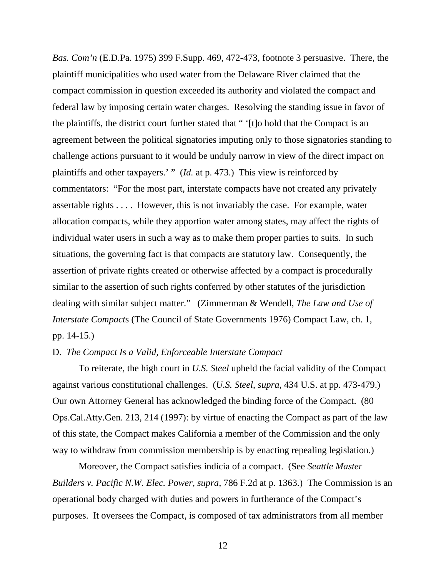*Bas. Com'n* (E.D.Pa. 1975) 399 F.Supp. 469, 472-473, footnote 3 persuasive. There, the plaintiff municipalities who used water from the Delaware River claimed that the compact commission in question exceeded its authority and violated the compact and federal law by imposing certain water charges. Resolving the standing issue in favor of the plaintiffs, the district court further stated that " '[t]o hold that the Compact is an agreement between the political signatories imputing only to those signatories standing to challenge actions pursuant to it would be unduly narrow in view of the direct impact on plaintiffs and other taxpayers.' " (*Id.* at p. 473.) This view is reinforced by commentators: "For the most part, interstate compacts have not created any privately assertable rights . . . . However, this is not invariably the case. For example, water allocation compacts, while they apportion water among states, may affect the rights of individual water users in such a way as to make them proper parties to suits. In such situations, the governing fact is that compacts are statutory law. Consequently, the assertion of private rights created or otherwise affected by a compact is procedurally similar to the assertion of such rights conferred by other statutes of the jurisdiction dealing with similar subject matter." (Zimmerman & Wendell, *The Law and Use of Interstate Compact*s (The Council of State Governments 1976) Compact Law, ch. 1, pp. 14-15.)

## D. *The Compact Is a Valid, Enforceable Interstate Compact*

To reiterate*,* the high court in *U.S. Steel* upheld the facial validity of the Compact against various constitutional challenges. (*U.S. Steel*, *supra*, 434 U.S. at pp. 473-479.) Our own Attorney General has acknowledged the binding force of the Compact. (80 Ops.Cal.Atty.Gen. 213, 214 (1997): by virtue of enacting the Compact as part of the law of this state, the Compact makes California a member of the Commission and the only way to withdraw from commission membership is by enacting repealing legislation.)

 Moreover, the Compact satisfies indicia of a compact. (See *Seattle Master Builders v. Pacific N.W. Elec. Power*, *supra*, 786 F.2d at p. 1363.) The Commission is an operational body charged with duties and powers in furtherance of the Compact's purposes. It oversees the Compact, is composed of tax administrators from all member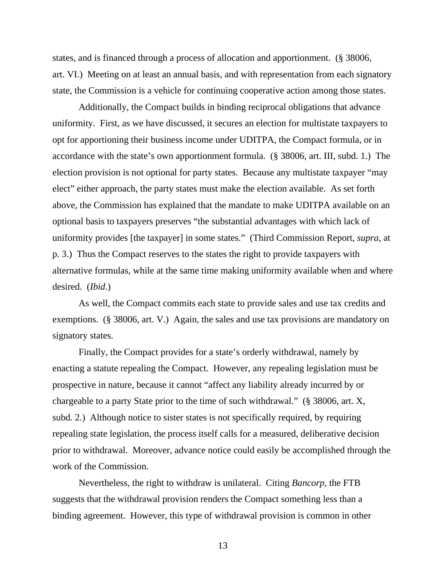states, and is financed through a process of allocation and apportionment. (§ 38006, art. VI.) Meeting on at least an annual basis, and with representation from each signatory state, the Commission is a vehicle for continuing cooperative action among those states.

 Additionally, the Compact builds in binding reciprocal obligations that advance uniformity. First, as we have discussed, it secures an election for multistate taxpayers to opt for apportioning their business income under UDITPA, the Compact formula, or in accordance with the state's own apportionment formula. (§ 38006, art. III, subd. 1.) The election provision is not optional for party states. Because any multistate taxpayer "may elect" either approach, the party states must make the election available. As set forth above, the Commission has explained that the mandate to make UDITPA available on an optional basis to taxpayers preserves "the substantial advantages with which lack of uniformity provides [the taxpayer] in some states." (Third Commission Report, *supra*, at p. 3.) Thus the Compact reserves to the states the right to provide taxpayers with alternative formulas, while at the same time making uniformity available when and where desired. (*Ibid*.)

 As well, the Compact commits each state to provide sales and use tax credits and exemptions. (§ 38006, art. V.) Again, the sales and use tax provisions are mandatory on signatory states.

 Finally, the Compact provides for a state's orderly withdrawal, namely by enacting a statute repealing the Compact. However, any repealing legislation must be prospective in nature, because it cannot "affect any liability already incurred by or chargeable to a party State prior to the time of such withdrawal." (§ 38006, art. X, subd. 2.) Although notice to sister states is not specifically required, by requiring repealing state legislation, the process itself calls for a measured, deliberative decision prior to withdrawal. Moreover, advance notice could easily be accomplished through the work of the Commission.

 Nevertheless, the right to withdraw is unilateral. Citing *Bancorp*, the FTB suggests that the withdrawal provision renders the Compact something less than a binding agreement. However, this type of withdrawal provision is common in other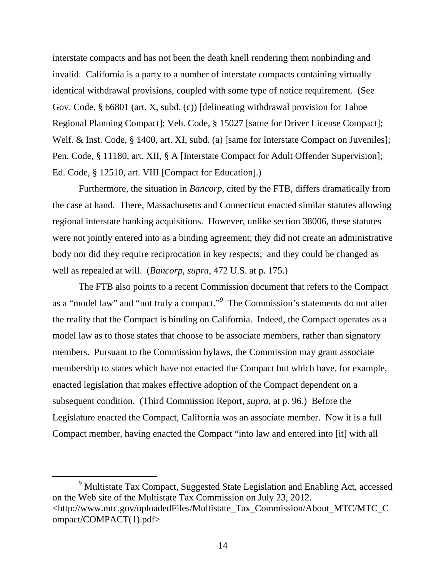interstate compacts and has not been the death knell rendering them nonbinding and invalid. California is a party to a number of interstate compacts containing virtually identical withdrawal provisions, coupled with some type of notice requirement. (See Gov. Code, § 66801 (art. X, subd. (c)) [delineating withdrawal provision for Tahoe Regional Planning Compact]; Veh. Code, § 15027 [same for Driver License Compact]; Welf. & Inst. Code, § 1400, art. XI, subd. (a) [same for Interstate Compact on Juveniles]; Pen. Code, § 11180, art. XII, § A [Interstate Compact for Adult Offender Supervision]; Ed. Code, § 12510, art. VIII [Compact for Education].)

 Furthermore, the situation in *Bancorp*, cited by the FTB, differs dramatically from the case at hand. There, Massachusetts and Connecticut enacted similar statutes allowing regional interstate banking acquisitions. However, unlike section 38006, these statutes were not jointly entered into as a binding agreement; they did not create an administrative body nor did they require reciprocation in key respects; and they could be changed as well as repealed at will. (*Bancorp*, *supra*, 472 U.S. at p. 175.)

 The FTB also points to a recent Commission document that refers to the Compact as a "model law" and "not truly a compact."<sup>9</sup> The Commission's statements do not alter the reality that the Compact is binding on California. Indeed, the Compact operates as a model law as to those states that choose to be associate members, rather than signatory members. Pursuant to the Commission bylaws, the Commission may grant associate membership to states which have not enacted the Compact but which have, for example, enacted legislation that makes effective adoption of the Compact dependent on a subsequent condition. (Third Commission Report, *supra*, at p. 96.) Before the Legislature enacted the Compact, California was an associate member. Now it is a full Compact member, having enacted the Compact "into law and entered into [it] with all

 $\frac{1}{9}$ <sup>9</sup> Multistate Tax Compact, Suggested State Legislation and Enabling Act, accessed on the Web site of the Multistate Tax Commission on July 23, 2012. <http://www.mtc.gov/uploadedFiles/Multistate\_Tax\_Commission/About\_MTC/MTC\_C ompact/COMPACT(1).pdf>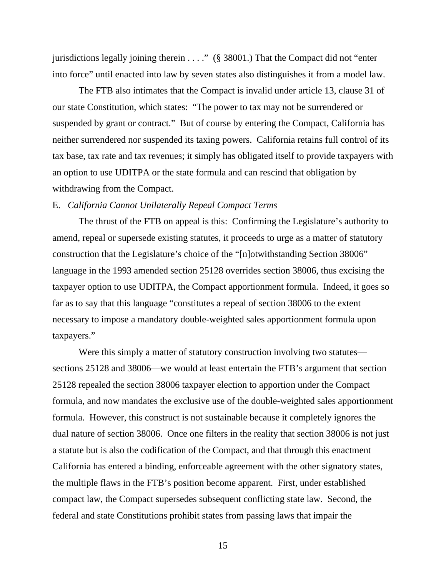jurisdictions legally joining therein . . . ." (§ 38001.) That the Compact did not "enter into force" until enacted into law by seven states also distinguishes it from a model law.

 The FTB also intimates that the Compact is invalid under article 13, clause 31 of our state Constitution, which states: "The power to tax may not be surrendered or suspended by grant or contract." But of course by entering the Compact, California has neither surrendered nor suspended its taxing powers. California retains full control of its tax base, tax rate and tax revenues; it simply has obligated itself to provide taxpayers with an option to use UDITPA or the state formula and can rescind that obligation by withdrawing from the Compact.

### E. *California Cannot Unilaterally Repeal Compact Terms*

 The thrust of the FTB on appeal is this: Confirming the Legislature's authority to amend, repeal or supersede existing statutes, it proceeds to urge as a matter of statutory construction that the Legislature's choice of the "[n]otwithstanding Section 38006" language in the 1993 amended section 25128 overrides section 38006, thus excising the taxpayer option to use UDITPA, the Compact apportionment formula. Indeed, it goes so far as to say that this language "constitutes a repeal of section 38006 to the extent necessary to impose a mandatory double-weighted sales apportionment formula upon taxpayers."

Were this simply a matter of statutory construction involving two statutes sections 25128 and 38006—we would at least entertain the FTB's argument that section 25128 repealed the section 38006 taxpayer election to apportion under the Compact formula, and now mandates the exclusive use of the double-weighted sales apportionment formula. However, this construct is not sustainable because it completely ignores the dual nature of section 38006. Once one filters in the reality that section 38006 is not just a statute but is also the codification of the Compact, and that through this enactment California has entered a binding, enforceable agreement with the other signatory states, the multiple flaws in the FTB's position become apparent. First, under established compact law, the Compact supersedes subsequent conflicting state law. Second, the federal and state Constitutions prohibit states from passing laws that impair the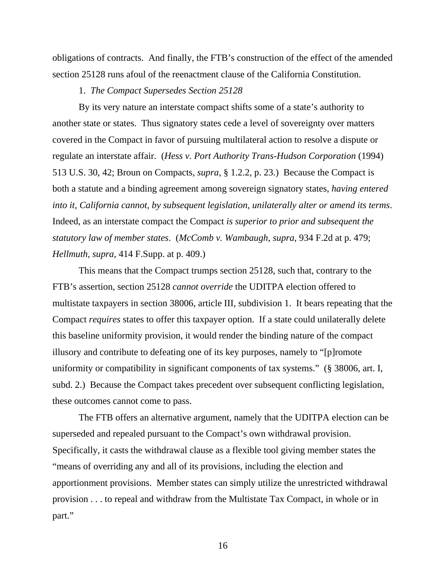obligations of contracts. And finally, the FTB's construction of the effect of the amended section 25128 runs afoul of the reenactment clause of the California Constitution.

#### 1. *The Compact Supersedes Section 25128*

 By its very nature an interstate compact shifts some of a state's authority to another state or states. Thus signatory states cede a level of sovereignty over matters covered in the Compact in favor of pursuing multilateral action to resolve a dispute or regulate an interstate affair. (*Hess v. Port Authority Trans-Hudson Corporation* (1994) 513 U.S. 30, 42; Broun on Compacts, *supra*, § 1.2.2, p. 23.) Because the Compact is both a statute and a binding agreement among sovereign signatory states, *having entered into it, California cannot, by subsequent legislation, unilaterally alter or amend its terms*. Indeed, as an interstate compact the Compact *is superior to prior and subsequent the statutory law of member states*. (*McComb v. Wambaugh*, *supra*, 934 F.2d at p. 479; *Hellmuth, supra*, 414 F.Supp. at p. 409.)

 This means that the Compact trumps section 25128, such that, contrary to the FTB's assertion, section 25128 *cannot override* the UDITPA election offered to multistate taxpayers in section 38006, article III, subdivision 1. It bears repeating that the Compact *requires* states to offer this taxpayer option. If a state could unilaterally delete this baseline uniformity provision, it would render the binding nature of the compact illusory and contribute to defeating one of its key purposes, namely to "[p]romote uniformity or compatibility in significant components of tax systems." (§ 38006, art. I, subd. 2.) Because the Compact takes precedent over subsequent conflicting legislation, these outcomes cannot come to pass.

 The FTB offers an alternative argument, namely that the UDITPA election can be superseded and repealed pursuant to the Compact's own withdrawal provision. Specifically, it casts the withdrawal clause as a flexible tool giving member states the "means of overriding any and all of its provisions, including the election and apportionment provisions. Member states can simply utilize the unrestricted withdrawal provision . . . to repeal and withdraw from the Multistate Tax Compact, in whole or in part."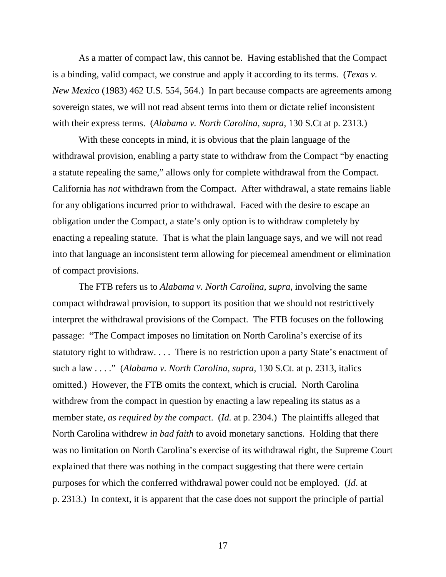As a matter of compact law, this cannot be. Having established that the Compact is a binding, valid compact, we construe and apply it according to its terms. (*Texas v. New Mexico* (1983) 462 U.S. 554, 564.) In part because compacts are agreements among sovereign states, we will not read absent terms into them or dictate relief inconsistent with their express terms. (*Alabama v. North Carolina*, *supra*, 130 S.Ct at p. 2313.)

 With these concepts in mind, it is obvious that the plain language of the withdrawal provision, enabling a party state to withdraw from the Compact "by enacting a statute repealing the same," allows only for complete withdrawal from the Compact. California has *not* withdrawn from the Compact. After withdrawal, a state remains liable for any obligations incurred prior to withdrawal. Faced with the desire to escape an obligation under the Compact, a state's only option is to withdraw completely by enacting a repealing statute. That is what the plain language says, and we will not read into that language an inconsistent term allowing for piecemeal amendment or elimination of compact provisions.

 The FTB refers us to *Alabama v. North Carolina, supra,* involving the same compact withdrawal provision, to support its position that we should not restrictively interpret the withdrawal provisions of the Compact. The FTB focuses on the following passage: "The Compact imposes no limitation on North Carolina's exercise of its statutory right to withdraw. . . . There is no restriction upon a party State's enactment of such a law . . . ." (*Alabama v. North Carolina*, *supra*, 130 S.Ct. at p. 2313, italics omitted.) However, the FTB omits the context, which is crucial. North Carolina withdrew from the compact in question by enacting a law repealing its status as a member state, *as required by the compact*. (*Id.* at p. 2304.) The plaintiffs alleged that North Carolina withdrew *in bad faith* to avoid monetary sanctions. Holding that there was no limitation on North Carolina's exercise of its withdrawal right, the Supreme Court explained that there was nothing in the compact suggesting that there were certain purposes for which the conferred withdrawal power could not be employed. (*Id*. at p. 2313.) In context, it is apparent that the case does not support the principle of partial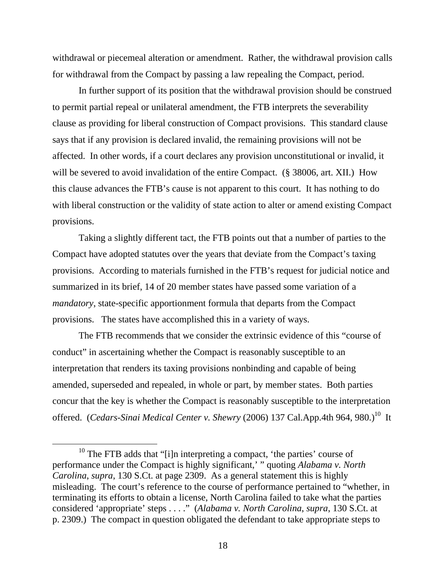withdrawal or piecemeal alteration or amendment. Rather, the withdrawal provision calls for withdrawal from the Compact by passing a law repealing the Compact, period.

 In further support of its position that the withdrawal provision should be construed to permit partial repeal or unilateral amendment, the FTB interprets the severability clause as providing for liberal construction of Compact provisions. This standard clause says that if any provision is declared invalid, the remaining provisions will not be affected. In other words, if a court declares any provision unconstitutional or invalid, it will be severed to avoid invalidation of the entire Compact. (§ 38006, art. XII.) How this clause advances the FTB's cause is not apparent to this court. It has nothing to do with liberal construction or the validity of state action to alter or amend existing Compact provisions.

 Taking a slightly different tact, the FTB points out that a number of parties to the Compact have adopted statutes over the years that deviate from the Compact's taxing provisions. According to materials furnished in the FTB's request for judicial notice and summarized in its brief, 14 of 20 member states have passed some variation of a *mandatory*, state-specific apportionment formula that departs from the Compact provisions. The states have accomplished this in a variety of ways.

 The FTB recommends that we consider the extrinsic evidence of this "course of conduct" in ascertaining whether the Compact is reasonably susceptible to an interpretation that renders its taxing provisions nonbinding and capable of being amended, superseded and repealed, in whole or part, by member states. Both parties concur that the key is whether the Compact is reasonably susceptible to the interpretation offered. (*Cedars-Sinai Medical Center v. Shewry* (2006) 137 Cal.App.4th 964, 980.)<sup>10</sup> It

 $10$  The FTB adds that "[i]n interpreting a compact, 'the parties' course of performance under the Compact is highly significant,' " quoting *Alabama v. North Carolina*, *supra*, 130 S.Ct. at page 2309. As a general statement this is highly misleading. The court's reference to the course of performance pertained to "whether, in terminating its efforts to obtain a license, North Carolina failed to take what the parties considered 'appropriate' steps . . . ." (*Alabama v. North Carolina*, *supra*, 130 S.Ct. at p. 2309.) The compact in question obligated the defendant to take appropriate steps to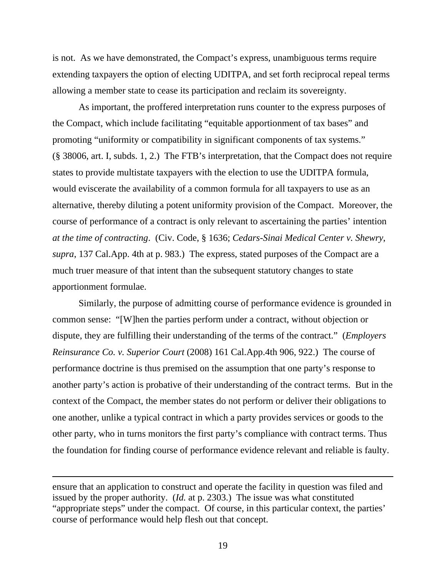is not. As we have demonstrated, the Compact's express, unambiguous terms require extending taxpayers the option of electing UDITPA, and set forth reciprocal repeal terms allowing a member state to cease its participation and reclaim its sovereignty.

 As important, the proffered interpretation runs counter to the express purposes of the Compact, which include facilitating "equitable apportionment of tax bases" and promoting "uniformity or compatibility in significant components of tax systems." (§ 38006, art. I, subds. 1, 2.) The FTB's interpretation, that the Compact does not require states to provide multistate taxpayers with the election to use the UDITPA formula, would eviscerate the availability of a common formula for all taxpayers to use as an alternative, thereby diluting a potent uniformity provision of the Compact. Moreover, the course of performance of a contract is only relevant to ascertaining the parties' intention *at the time of contracting*. (Civ. Code, § 1636; *Cedars-Sinai Medical Center v. Shewry*, *supra*, 137 Cal.App. 4th at p. 983.) The express, stated purposes of the Compact are a much truer measure of that intent than the subsequent statutory changes to state apportionment formulae.

 Similarly, the purpose of admitting course of performance evidence is grounded in common sense: "[W]hen the parties perform under a contract, without objection or dispute, they are fulfilling their understanding of the terms of the contract." (*Employers Reinsurance Co. v. Superior Court* (2008) 161 Cal.App.4th 906, 922.) The course of performance doctrine is thus premised on the assumption that one party's response to another party's action is probative of their understanding of the contract terms. But in the context of the Compact, the member states do not perform or deliver their obligations to one another, unlike a typical contract in which a party provides services or goods to the other party, who in turns monitors the first party's compliance with contract terms. Thus the foundation for finding course of performance evidence relevant and reliable is faulty.

ensure that an application to construct and operate the facility in question was filed and issued by the proper authority. (*Id.* at p. 2303.) The issue was what constituted "appropriate steps" under the compact. Of course, in this particular context, the parties' course of performance would help flesh out that concept.

 $\overline{a}$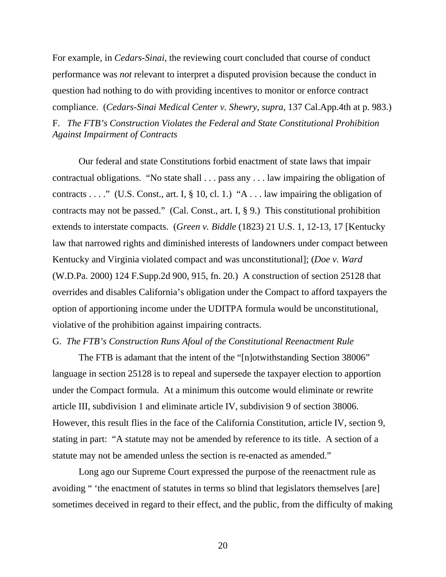For example, in *Cedars*-*Sinai*, the reviewing court concluded that course of conduct performance was *not* relevant to interpret a disputed provision because the conduct in question had nothing to do with providing incentives to monitor or enforce contract compliance. (*Cedars-Sinai Medical Center v. Shewry, supra*, 137 Cal.App.4th at p. 983.) F. *The FTB's Construction Violates the Federal and State Constitutional Prohibition Against Impairment of Contracts*

 Our federal and state Constitutions forbid enactment of state laws that impair contractual obligations. "No state shall . . . pass any . . . law impairing the obligation of contracts  $\dots$ ." (U.S. Const., art. I, § 10, cl. 1.) "A  $\dots$  law impairing the obligation of contracts may not be passed." (Cal. Const., art. I, § 9.) This constitutional prohibition extends to interstate compacts. (*Green v. Biddle* (1823) 21 U.S. 1, 12-13, 17 [Kentucky law that narrowed rights and diminished interests of landowners under compact between Kentucky and Virginia violated compact and was unconstitutional]; (*Doe v. Ward* (W.D.Pa. 2000) 124 F.Supp.2d 900, 915, fn. 20.) A construction of section 25128 that overrides and disables California's obligation under the Compact to afford taxpayers the option of apportioning income under the UDITPA formula would be unconstitutional, violative of the prohibition against impairing contracts.

## G. *The FTB's Construction Runs Afoul of the Constitutional Reenactment Rule*

The FTB is adamant that the intent of the "[n]otwithstanding Section 38006" language in section 25128 is to repeal and supersede the taxpayer election to apportion under the Compact formula. At a minimum this outcome would eliminate or rewrite article III, subdivision 1 and eliminate article IV, subdivision 9 of section 38006. However, this result flies in the face of the California Constitution, article IV, section 9, stating in part: "A statute may not be amended by reference to its title. A section of a statute may not be amended unless the section is re-enacted as amended."

 Long ago our Supreme Court expressed the purpose of the reenactment rule as avoiding " 'the enactment of statutes in terms so blind that legislators themselves [are] sometimes deceived in regard to their effect, and the public, from the difficulty of making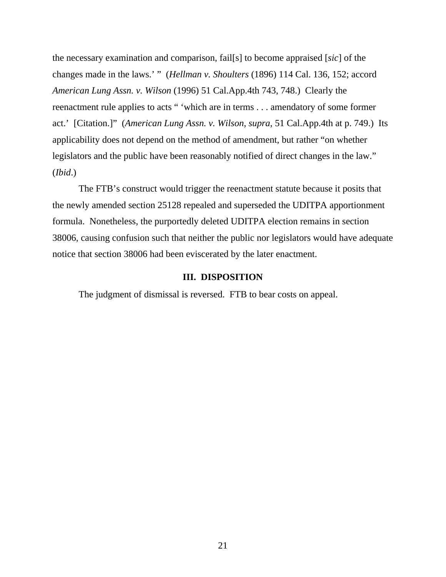the necessary examination and comparison, fail[s] to become appraised [*sic*] of the changes made in the laws.' " (*Hellman v. Shoulters* (1896) 114 Cal. 136, 152; accord *American Lung Assn. v. Wilson* (1996) 51 Cal.App.4th 743, 748.) Clearly the reenactment rule applies to acts " 'which are in terms . . . amendatory of some former act.' [Citation.]" (*American Lung Assn. v. Wilson*, *supra*, 51 Cal.App.4th at p. 749.) Its applicability does not depend on the method of amendment, but rather "on whether legislators and the public have been reasonably notified of direct changes in the law." (*Ibid*.)

 The FTB's construct would trigger the reenactment statute because it posits that the newly amended section 25128 repealed and superseded the UDITPA apportionment formula. Nonetheless, the purportedly deleted UDITPA election remains in section 38006, causing confusion such that neither the public nor legislators would have adequate notice that section 38006 had been eviscerated by the later enactment.

# **III. DISPOSITION**

The judgment of dismissal is reversed. FTB to bear costs on appeal.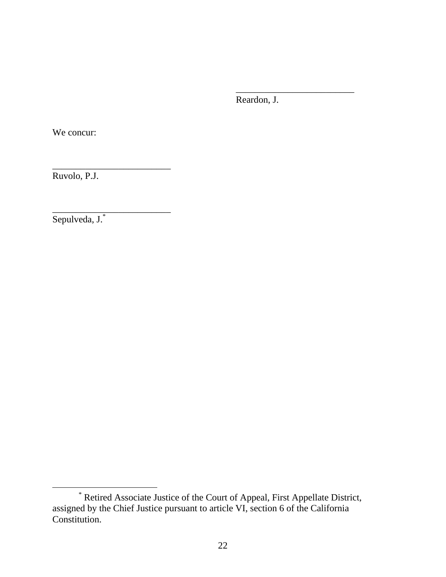Reardon, J.

 $\frac{1}{2}$  , and the contract of the contract of the contract of the contract of the contract of the contract of the contract of the contract of the contract of the contract of the contract of the contract of the contract

We concur:

Ruvolo, P.J.

\_\_\_\_\_\_\_\_\_\_\_\_\_\_\_\_\_\_\_\_\_\_\_\_\_

\_\_\_\_\_\_\_\_\_\_\_\_\_\_\_\_\_\_\_\_\_\_\_\_\_

Sepulveda, J.\*

 <sup>\*</sup> Retired Associate Justice of the Court of Appeal, First Appellate District, assigned by the Chief Justice pursuant to article VI, section 6 of the California Constitution.